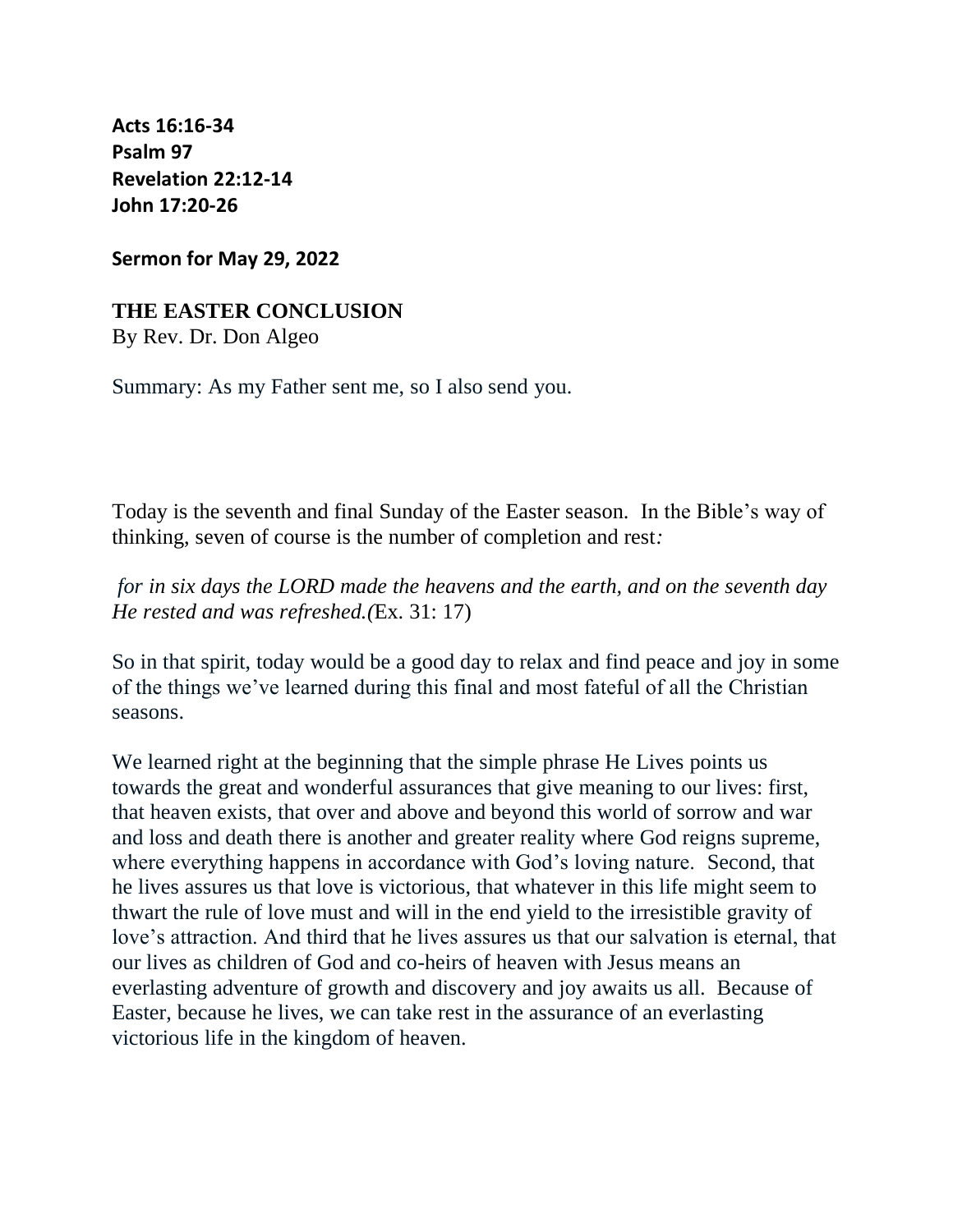**[Acts 16:16-34](https://lectionary.library.vanderbilt.edu/texts.php?id=140#hebrew_reading) [Psalm 97](https://lectionary.library.vanderbilt.edu/texts.php?id=140#psalm_reading) [Revelation 22:12-14](https://lectionary.library.vanderbilt.edu/texts.php?id=140#epistle_reading) [John 17:20-26](https://lectionary.library.vanderbilt.edu/texts.php?id=140#gospel_reading)**

**Sermon for May 29, 2022**

## **THE EASTER CONCLUSION**

By Rev. Dr. Don Algeo

Summary: As my Father sent me, so I also send you.

Today is the seventh and final Sunday of the Easter season. In the Bible's way of thinking, seven of course is the number of completion and rest*:*

*for in six days the LORD made the heavens and the earth, and on the seventh day He rested and was refreshed.(*Ex. 31: 17)

So in that spirit, today would be a good day to relax and find peace and joy in some of the things we've learned during this final and most fateful of all the Christian seasons.

We learned right at the beginning that the simple phrase He Lives points us towards the great and wonderful assurances that give meaning to our lives: first, that heaven exists, that over and above and beyond this world of sorrow and war and loss and death there is another and greater reality where God reigns supreme, where everything happens in accordance with God's loving nature. Second, that he lives assures us that love is victorious, that whatever in this life might seem to thwart the rule of love must and will in the end yield to the irresistible gravity of love's attraction. And third that he lives assures us that our salvation is eternal, that our lives as children of God and co-heirs of heaven with Jesus means an everlasting adventure of growth and discovery and joy awaits us all. Because of Easter, because he lives, we can take rest in the assurance of an everlasting victorious life in the kingdom of heaven.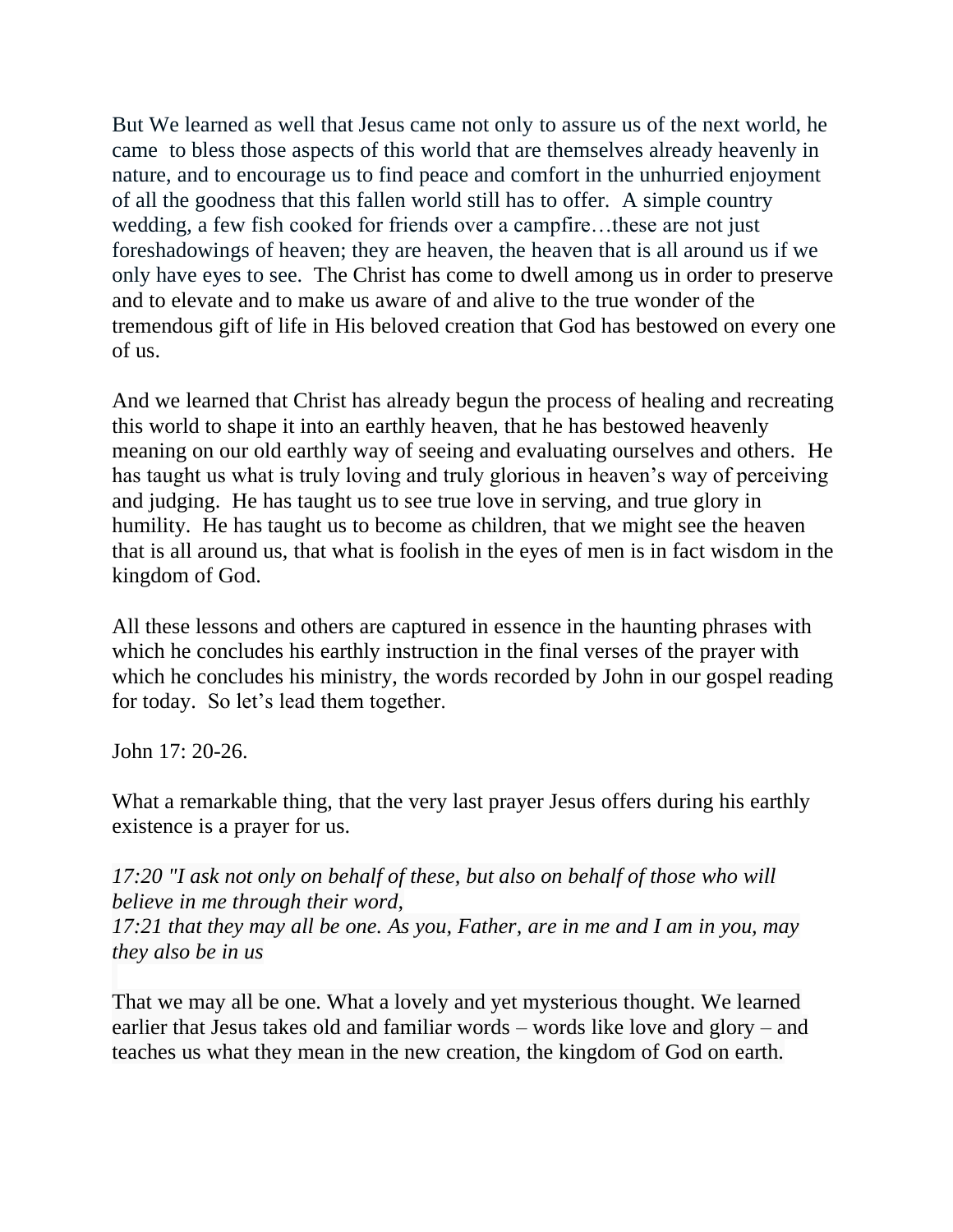But We learned as well that Jesus came not only to assure us of the next world, he came to bless those aspects of this world that are themselves already heavenly in nature, and to encourage us to find peace and comfort in the unhurried enjoyment of all the goodness that this fallen world still has to offer. A simple country wedding, a few fish cooked for friends over a campfire…these are not just foreshadowings of heaven; they are heaven, the heaven that is all around us if we only have eyes to see. The Christ has come to dwell among us in order to preserve and to elevate and to make us aware of and alive to the true wonder of the tremendous gift of life in His beloved creation that God has bestowed on every one of us.

And we learned that Christ has already begun the process of healing and recreating this world to shape it into an earthly heaven, that he has bestowed heavenly meaning on our old earthly way of seeing and evaluating ourselves and others. He has taught us what is truly loving and truly glorious in heaven's way of perceiving and judging. He has taught us to see true love in serving, and true glory in humility. He has taught us to become as children, that we might see the heaven that is all around us, that what is foolish in the eyes of men is in fact wisdom in the kingdom of God.

All these lessons and others are captured in essence in the haunting phrases with which he concludes his earthly instruction in the final verses of the prayer with which he concludes his ministry, the words recorded by John in our gospel reading for today. So let's lead them together.

John 17: 20-26.

What a remarkable thing, that the very last prayer Jesus offers during his earthly existence is a prayer for us.

*17:20 "I ask not only on behalf of these, but also on behalf of those who will believe in me through their word, 17:21 that they may all be one. As you, Father, are in me and I am in you, may they also be in us*

That we may all be one. What a lovely and yet mysterious thought. We learned earlier that Jesus takes old and familiar words – words like love and glory – and teaches us what they mean in the new creation, the kingdom of God on earth.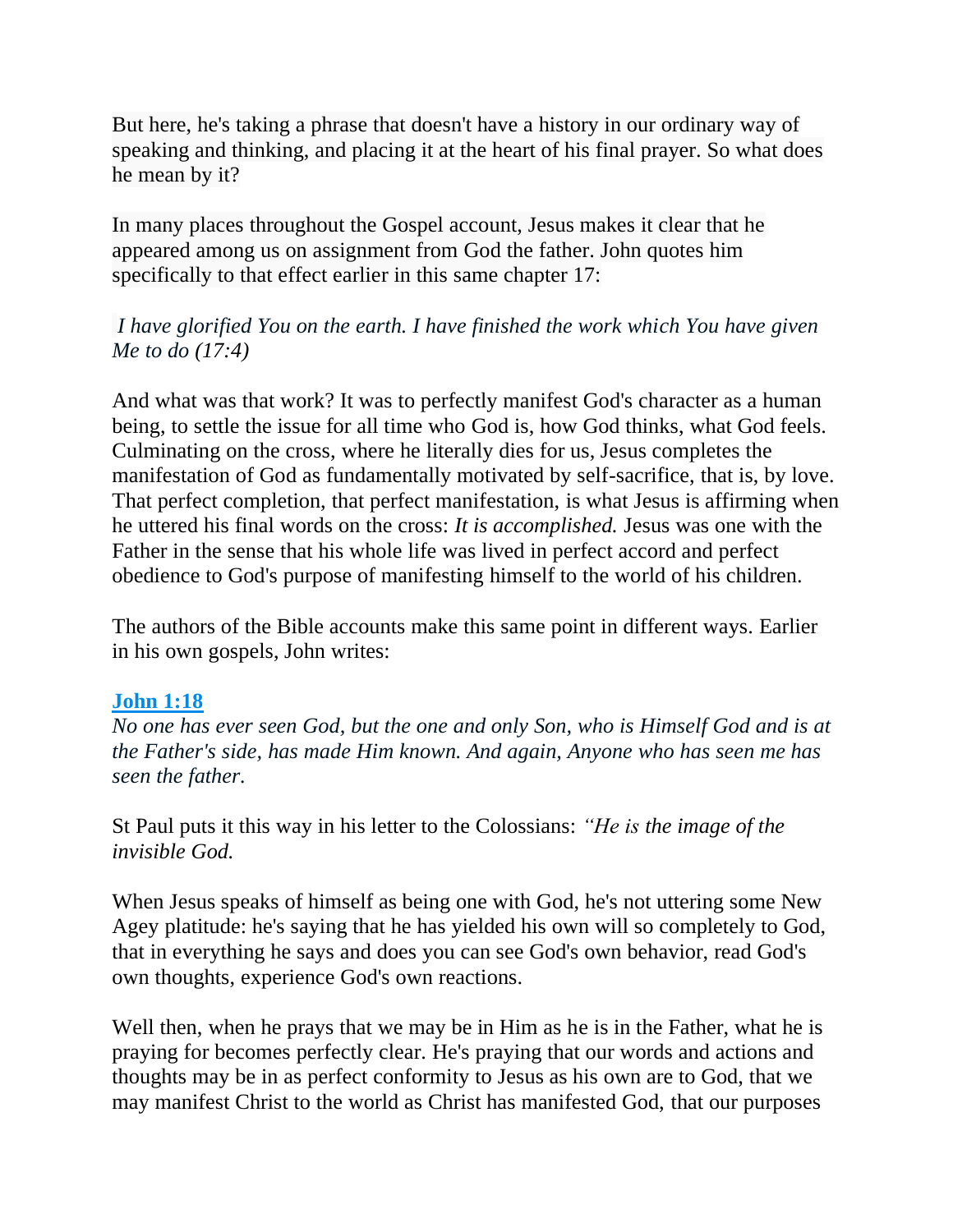But here, he's taking a phrase that doesn't have a history in our ordinary way of speaking and thinking, and placing it at the heart of his final prayer. So what does he mean by it?

In many places throughout the Gospel account, Jesus makes it clear that he appeared among us on assignment from God the father. John quotes him specifically to that effect earlier in this same chapter 17:

*I have glorified You on the earth. I have finished the work which You have given Me to do (17:4)*

And what was that work? It was to perfectly manifest God's character as a human being, to settle the issue for all time who God is, how God thinks, what God feels. Culminating on the cross, where he literally dies for us, Jesus completes the manifestation of God as fundamentally motivated by self-sacrifice, that is, by love. That perfect completion, that perfect manifestation, is what Jesus is affirming when he uttered his final words on the cross: *It is accomplished.* Jesus was one with the Father in the sense that his whole life was lived in perfect accord and perfect obedience to God's purpose of manifesting himself to the world of his children.

The authors of the Bible accounts make this same point in different ways. Earlier in his own gospels, John writes:

## **John 1:18**

*No one has ever seen God, but the one and only Son, who is Himself God and is at the Father's side, has made Him known. And again, Anyone who has seen me has seen the father.*

St Paul puts it this way in his letter to the Colossians: *"He is the image of the invisible God.*

When Jesus speaks of himself as being one with God, he's not uttering some New Agey platitude: he's saying that he has yielded his own will so completely to God, that in everything he says and does you can see God's own behavior, read God's own thoughts, experience God's own reactions.

Well then, when he prays that we may be in Him as he is in the Father, what he is praying for becomes perfectly clear. He's praying that our words and actions and thoughts may be in as perfect conformity to Jesus as his own are to God, that we may manifest Christ to the world as Christ has manifested God, that our purposes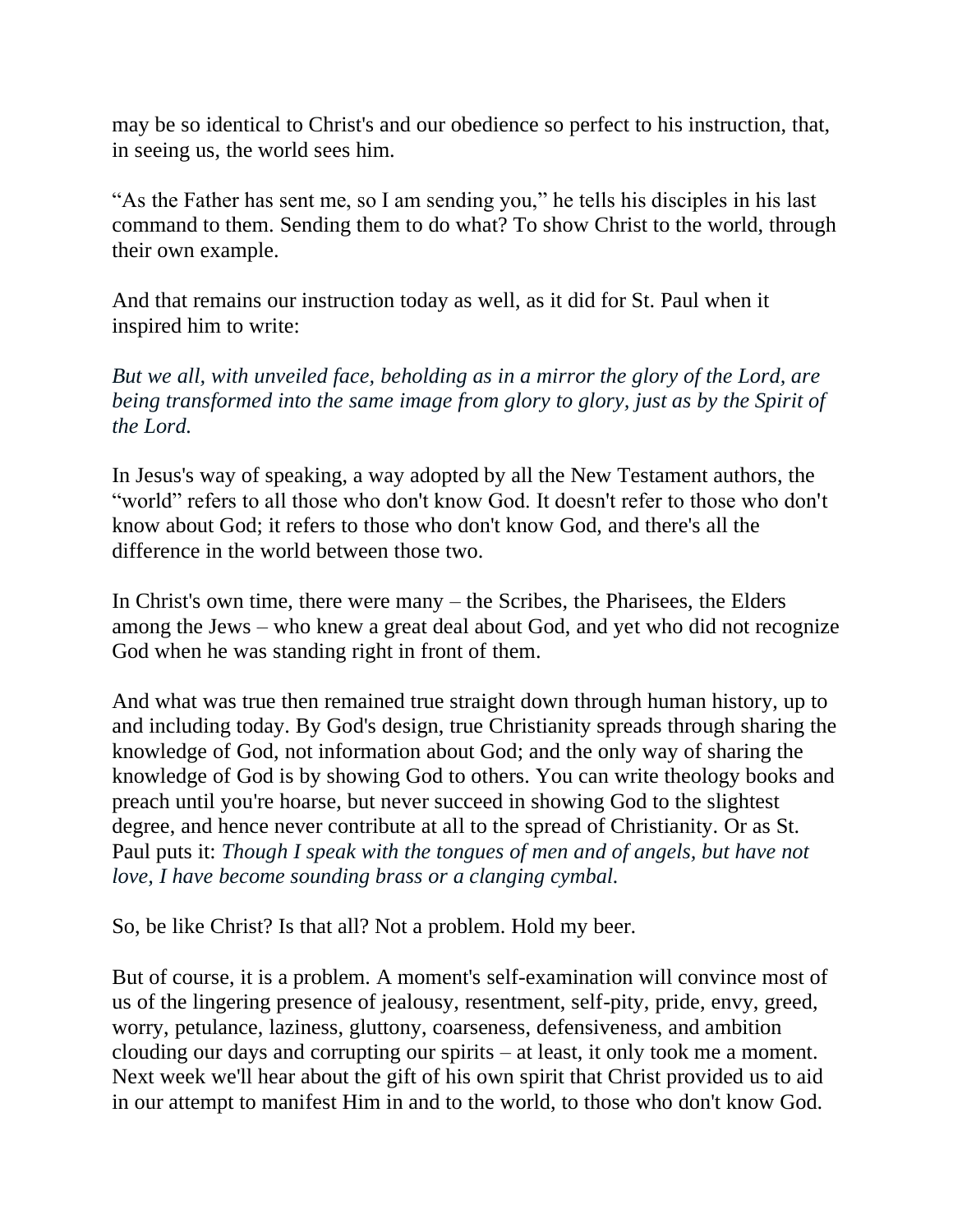may be so identical to Christ's and our obedience so perfect to his instruction, that, in seeing us, the world sees him.

"As the Father has sent me, so I am sending you," he tells his disciples in his last command to them. Sending them to do what? To show Christ to the world, through their own example.

And that remains our instruction today as well, as it did for St. Paul when it inspired him to write:

*But we all, with unveiled face, beholding as in a mirror the glory of the Lord, are being transformed into the same image from glory to glory, just as by the Spirit of the Lord.*

In Jesus's way of speaking, a way adopted by all the New Testament authors, the "world" refers to all those who don't know God. It doesn't refer to those who don't know about God; it refers to those who don't know God, and there's all the difference in the world between those two.

In Christ's own time, there were many – the Scribes, the Pharisees, the Elders among the Jews – who knew a great deal about God, and yet who did not recognize God when he was standing right in front of them.

And what was true then remained true straight down through human history, up to and including today. By God's design, true Christianity spreads through sharing the knowledge of God, not information about God; and the only way of sharing the knowledge of God is by showing God to others. You can write theology books and preach until you're hoarse, but never succeed in showing God to the slightest degree, and hence never contribute at all to the spread of Christianity. Or as St. Paul puts it: *Though I speak with the tongues of men and of angels, but have not love, I have become sounding brass or a clanging cymbal.*

So, be like Christ? Is that all? Not a problem. Hold my beer.

But of course, it is a problem. A moment's self-examination will convince most of us of the lingering presence of jealousy, resentment, self-pity, pride, envy, greed, worry, petulance, laziness, gluttony, coarseness, defensiveness, and ambition clouding our days and corrupting our spirits – at least, it only took me a moment. Next week we'll hear about the gift of his own spirit that Christ provided us to aid in our attempt to manifest Him in and to the world, to those who don't know God.